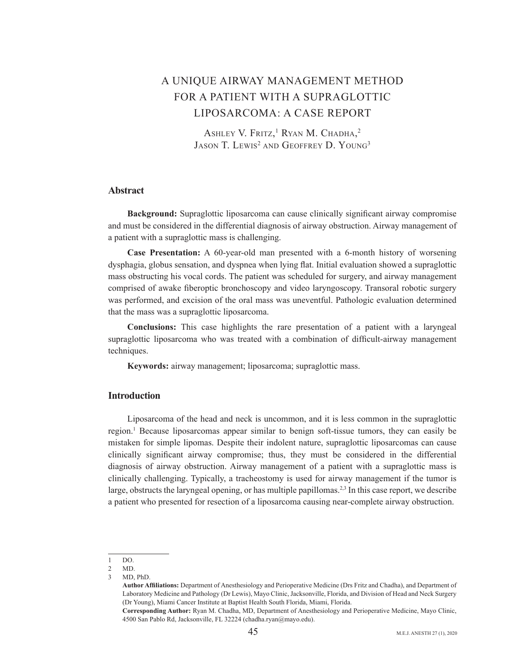# A UNIQUE AIRWAY MANAGEMENT METHOD FOR A PATIENT WITH A SUPRAGLOTTIC LIPOSARCOMA: A CASE REPORT

ASHLEY V. FRITZ,<sup>1</sup> RYAN M. CHADHA,<sup>2</sup> JASON T. LEWIS<sup>2</sup> AND GEOFFREY D. YOUNG<sup>3</sup>

#### **Abstract**

**Background:** Supraglottic liposarcoma can cause clinically significant airway compromise and must be considered in the differential diagnosis of airway obstruction. Airway management of a patient with a supraglottic mass is challenging.

**Case Presentation:** A 60-year-old man presented with a 6-month history of worsening dysphagia, globus sensation, and dyspnea when lying flat. Initial evaluation showed a supraglottic mass obstructing his vocal cords. The patient was scheduled for surgery, and airway management comprised of awake fiberoptic bronchoscopy and video laryngoscopy. Transoral robotic surgery was performed, and excision of the oral mass was uneventful. Pathologic evaluation determined that the mass was a supraglottic liposarcoma.

**Conclusions:** This case highlights the rare presentation of a patient with a laryngeal supraglottic liposarcoma who was treated with a combination of difficult-airway management techniques.

Keywords: airway management; liposarcoma; supraglottic mass.

### **Introduction**

Liposarcoma of the head and neck is uncommon, and it is less common in the supraglottic region.<sup>1</sup> Because liposarcomas appear similar to benign soft-tissue tumors, they can easily be mistaken for simple lipomas. Despite their indolent nature, supraglottic liposarcomas can cause clinically significant airway compromise; thus, they must be considered in the differential diagnosis of airway obstruction. Airway management of a patient with a supraglottic mass is clinically challenging. Typically, a tracheostomy is used for airway management if the tumor is large, obstructs the laryngeal opening, or has multiple papillomas.<sup>2,3</sup> In this case report, we describe a patient who presented for resection of a liposarcoma causing near-complete airway obstruction.

 $1$  DO.

<sup>2</sup> MD.

<sup>3</sup> MD, PhD

Author Affiliations: Department of Anesthesiology and Perioperative Medicine (Drs Fritz and Chadha), and Department of Laboratory Medicine and Pathology (Dr Lewis), Mayo Clinic, Jacksonville, Florida, and Division of Head and Neck Surgery (Dr Young), Miami Cancer Institute at Baptist Health South Florida, Miami, Florida.

Corresponding Author: Ryan M. Chadha, MD, Department of Anesthesiology and Perioperative Medicine, Mayo Clinic, 4500 San Pablo Rd, Jacksonville, FL 32224 (chadha.ryan@mayo.edu).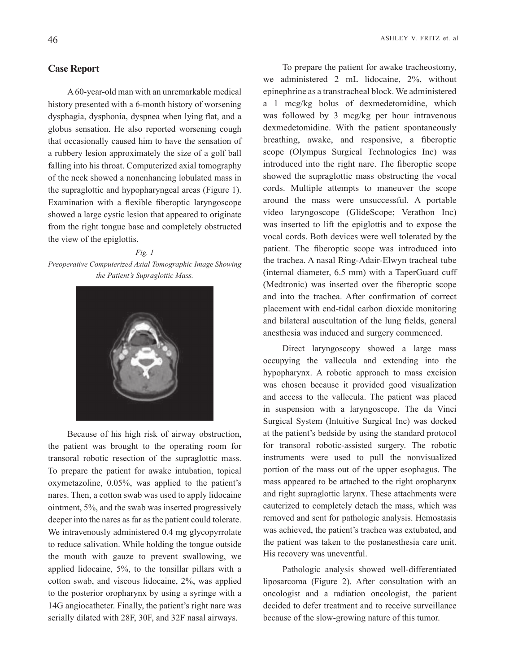#### **Case Report**

A 60-year-old man with an unremarkable medical history presented with a 6-month history of worsening dysphagia, dysphonia, dyspnea when lying flat, and a globus sensation. He also reported worsening cough that occasionally caused him to have the sensation of a rubbery lesion approximately the size of a golf ball falling into his throat. Computerized axial tomography of the neck showed a nonenhancing lobulated mass in the supraglottic and hypopharyngeal areas (Figure 1). Examination with a flexible fiberoptic laryngoscope showed a large cystic lesion that appeared to originate from the right tongue base and completely obstructed the view of the epiglottis.

*Fig.* 1 *Preoperative Computerized Axial Tomographic Image Showing the Patient's Supraglottic Mass.* 



Because of his high risk of airway obstruction, the patient was brought to the operating room for transoral robotic resection of the supraglottic mass. To prepare the patient for awake intubation, topical oxymetazoline,  $0.05\%$ , was applied to the patient's nares. Then, a cotton swab was used to apply lidocaine ointment,  $5\%$ , and the swab was inserted progressively deeper into the nares as far as the patient could tolerate. We intravenously administered 0.4 mg glycopyrrolate to reduce salivation. While holding the tongue outside the mouth with gauze to prevent swallowing, we applied lidocaine,  $5\%$ , to the tonsillar pillars with a cotton swab, and viscous lidocaine,  $2\%$ , was applied to the posterior oropharynx by using a syringe with a 14G angiocatheter. Finally, the patient's right nare was serially dilated with 28F, 30F, and 32F nasal airways.

To prepare the patient for awake tracheostomy, we administered 2 mL lidocaine,  $2\%$ , without epinephrine as a transtracheal block. We administered a 1 mcg/kg bolus of dexmedetomidine, which was followed by  $3 \text{ meg/kg}$  per hour intravenous dexmedetomidine. With the patient spontaneously breathing, awake, and responsive, a fiberoptic scope (Olympus Surgical Technologies Inc) was introduced into the right nare. The fiberoptic scope showed the supraglottic mass obstructing the vocal cords. Multiple attempts to maneuver the scope around the mass were unsuccessful. A portable video laryngoscope (GlideScope; Verathon Inc) was inserted to lift the epiglottis and to expose the vocal cords. Both devices were well tolerated by the patient. The fiberoptic scope was introduced into the trachea. A nasal Ring-Adair-Elwyn tracheal tube (internal diameter,  $6.5$  mm) with a TaperGuard cuff (Medtronic) was inserted over the fiberoptic scope and into the trachea. After confirmation of correct placement with end-tidal carbon dioxide monitoring and bilateral auscultation of the lung fields, general anesthesia was induced and surgery commenced.

Direct laryngoscopy showed a large mass occupying the vallecula and extending into the hypopharynx. A robotic approach to mass excision was chosen because it provided good visualization and access to the vallecula. The patient was placed in suspension with a laryngoscope. The da Vinci Surgical System (Intuitive Surgical Inc) was docked at the patient's bedside by using the standard protocol for transoral robotic-assisted surgery. The robotic instruments were used to pull the nonvisualized portion of the mass out of the upper esophagus. The mass appeared to be attached to the right oropharynx and right supraglottic larynx. These attachments were cauterized to completely detach the mass, which was removed and sent for pathologic analysis. Hemostasis was achieved, the patient's trachea was extubated, and the patient was taken to the postanesthesia care unit. His recovery was uneventful.

Pathologic analysis showed well-differentiated liposarcoma (Figure 2). After consultation with an patient oncologist and a radiation oncologist, the patient decided to defer treatment and to receive surveillance because of the slow-growing nature of this tumor.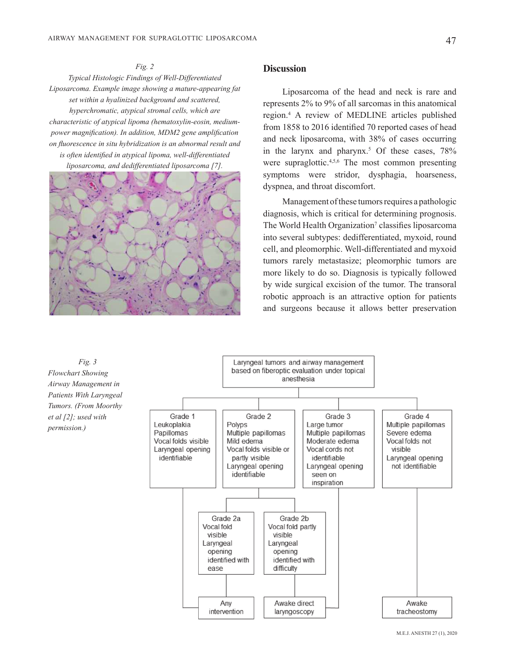*Fig. 2 Differentiated-Well of Findings Histologic Typical* Liposarcoma. Example image showing a mature-appearing fat  $set$  within a hyalinized background and scattered, *hyperchromatic, atypical stromal cells, which are power magnification). In addition, MDM2 gene amplification* characteristic of atypical lipoma (hematoxylin-eosin, medium*on fluorescence in situ hybridization is an abnormal result and is often identified in atypical lipoma, well-differentiated* 

*liposarcoma, and dedifferentiated liposarcoma* [7].



#### **Discussion**

Liposarcoma of the head and neck is rare and represents  $2\%$  to 9% of all sarcomas in this anatomical region.<sup>4</sup> A review of MEDLINE articles published from 1858 to 2016 identified 70 reported cases of head and neck liposarcoma, with 38% of cases occurring in the larynx and pharynx.<sup>5</sup> Of these cases,  $78\%$ were supraglottic.<sup>4,5,6</sup> The most common presenting symptoms were stridor, dysphagia, hoarseness, dyspnea, and throat discomfort.

Management of these tumors requires a pathologic diagnosis, which is critical for determining prognosis. The World Health Organization<sup>7</sup> classifies liposarcoma into several subtypes: dedifferentiated, myxoid, round cell, and pleomorphic. Well-differentiated and myxoid tumors rarely metastasize; pleomorphic tumors are more likely to do so. Diagnosis is typically followed by wide surgical excision of the tumor. The transoral robotic approach is an attractive option for patients and surgeons because it allows better preservation



M.E.J. ANESTH 27 (1), 2020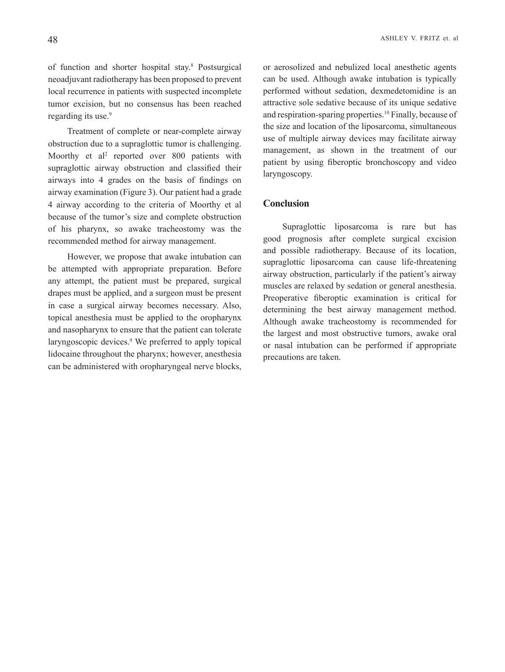of function and shorter hospital stay.<sup>8</sup> Postsurgical neoadjuvant radiotherapy has been proposed to prevent local recurrence in patients with suspected incomplete tumor excision, but no consensus has been reached regarding its use.<sup>9</sup>

Treatment of complete or near-complete airway obstruction due to a supraglottic tumor is challenging. Moorthy et al<sup>2</sup> reported over 800 patients with supraglottic airway obstruction and classified their airways into 4 grades on the basis of findings on airway examination (Figure 3). Our patient had a grade 4 airway according to the criteria of Moorthy et all because of the tumor's size and complete obstruction of his pharynx, so awake tracheostomy was the recommended method for airway management.

However, we propose that awake intubation can be attempted with appropriate preparation. Before any attempt, the patient must be prepared, surgical drapes must be applied, and a surgeon must be present in case a surgical airway becomes necessary. Also, topical anesthesia must be applied to the oropharynx and nasopharynx to ensure that the patient can tolerate laryngoscopic devices.<sup>9</sup> We preferred to apply topical lidocaine throughout the pharynx; however, anesthesia can be administered with oropharyngeal nerve blocks,

or aerosolized and nebulized local anesthetic agents can be used. Although awake intubation is typically performed without sedation, dexmedetomidine is an attractive sole sedative because of its unique sedative and respiration-sparing properties.<sup>10</sup> Finally, because of the size and location of the liposarcoma, simultaneous use of multiple airway devices may facilitate airway management, as shown in the treatment of our patient by using fiberoptic bronchoscopy and video laryngoscopy.

#### **Conclusion**

Supraglottic liposarcoma is rare but has good prognosis after complete surgical excision and possible radiotherapy. Because of its location, supraglottic liposarcoma can cause life-threatening airway obstruction, particularly if the patient's airway muscles are relaxed by sedation or general anesthesia. Preoperative fiberoptic examination is critical for determining the best airway management method. Although awake tracheostomy is recommended for the largest and most obstructive tumors, awake oral or nasal intubation can be performed if appropriate precautions are taken.